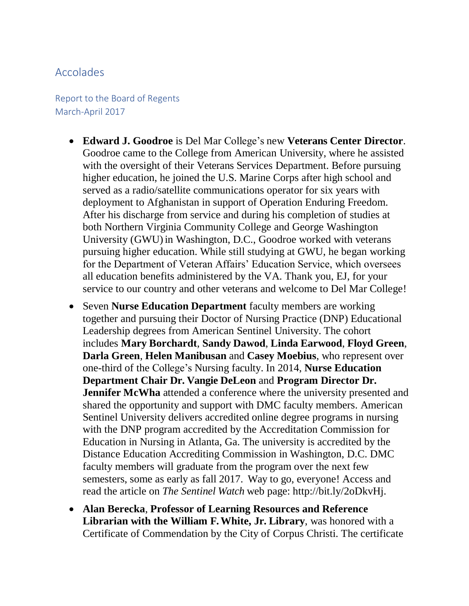## Accolades

Report to the Board of Regents March-April 2017

- **Edward J. Goodroe** is Del Mar College's new **Veterans Center Director**. Goodroe came to the College from American University, where he assisted with the oversight of their Veterans Services Department. Before pursuing higher education, he joined the U.S. Marine Corps after high school and served as a radio/satellite communications operator for six years with deployment to Afghanistan in support of Operation Enduring Freedom. After his discharge from service and during his completion of studies at both Northern Virginia Community College and George Washington University (GWU) in Washington, D.C., Goodroe worked with veterans pursuing higher education. While still studying at GWU, he began working for the Department of Veteran Affairs' Education Service, which oversees all education benefits administered by the VA. Thank you, EJ, for your service to our country and other veterans and welcome to Del Mar College!
- Seven **Nurse Education Department** faculty members are working together and pursuing their Doctor of Nursing Practice (DNP) Educational Leadership degrees from American Sentinel University. The cohort includes **Mary Borchardt**, **Sandy Dawod**, **Linda Earwood**, **Floyd Green**, **Darla Green**, **Helen Manibusan** and **Casey Moebius**, who represent over one-third of the College's Nursing faculty. In 2014, **Nurse Education Department Chair Dr. Vangie DeLeon** and **Program Director Dr. Jennifer McWha** attended a conference where the university presented and shared the opportunity and support with DMC faculty members. American Sentinel University delivers accredited online degree programs in nursing with the DNP program accredited by the Accreditation Commission for Education in Nursing in Atlanta, Ga. The university is accredited by the Distance Education Accrediting Commission in Washington, D.C. DMC faculty members will graduate from the program over the next few semesters, some as early as fall 2017. Way to go, everyone! Access and read the article on *The Sentinel Watch* web page: [http://bit.ly/2oDkvHj.](http://bit.ly/2oDkvHj)
- **Alan Berecka**, **Professor of Learning Resources and Reference Librarian with the William F. White, Jr. Library**, was honored with a Certificate of Commendation by the City of Corpus Christi. The certificate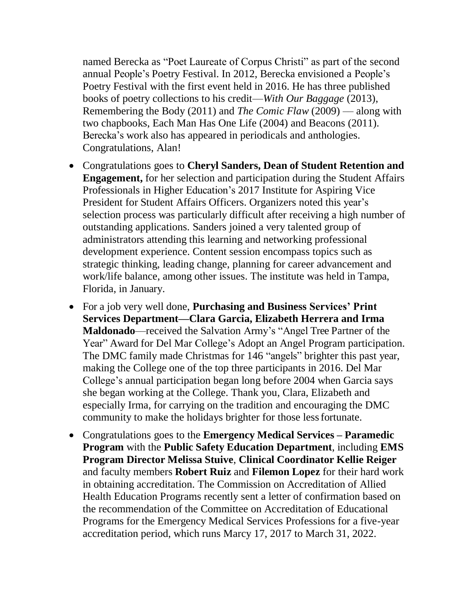named Berecka as "Poet Laureate of Corpus Christi" as part of the second annual People's Poetry Festival. In 2012, Berecka envisioned a People's Poetry Festival with the first event held in 2016. He has three published books of poetry collections to his credit––*With Our Baggage* (2013), Remembering the Body (2011) and *The Comic Flaw* (2009) –– along with two chapbooks, Each Man Has One Life (2004) and Beacons (2011). Berecka's work also has appeared in periodicals and anthologies. Congratulations, Alan!

- Congratulations goes to **Cheryl Sanders, Dean of Student Retention and Engagement,** for her selection and participation during the Student Affairs Professionals in Higher Education's 2017 Institute for Aspiring Vice President for Student Affairs Officers. Organizers noted this year's selection process was particularly difficult after receiving a high number of outstanding applications. Sanders joined a very talented group of administrators attending this learning and networking professional development experience. Content session encompass topics such as strategic thinking, leading change, planning for career advancement and work/life balance, among other issues. The institute was held in Tampa, Florida, in January.
- For a job very well done, **Purchasing and Business Services' Print Services Department––Clara Garcia, Elizabeth Herrera and Irma Maldonado**––received the Salvation Army's "Angel Tree Partner of the Year" Award for Del Mar College's Adopt an Angel Program participation. The DMC family made Christmas for 146 "angels" brighter this past year, making the College one of the top three participants in 2016. Del Mar College's annual participation began long before 2004 when Garcia says she began working at the College. Thank you, Clara, Elizabeth and especially Irma, for carrying on the tradition and encouraging the DMC community to make the holidays brighter for those lessfortunate.
- Congratulations goes to the **Emergency Medical Services – Paramedic Program** with the **Public Safety Education Department**, including **EMS Program Director Melissa Stuive**, **Clinical Coordinator Kellie Reiger** and faculty members **Robert Ruiz** and **Filemon Lopez** for their hard work in obtaining accreditation. The Commission on Accreditation of Allied Health Education Programs recently sent a letter of confirmation based on the recommendation of the Committee on Accreditation of Educational Programs for the Emergency Medical Services Professions for a five-year accreditation period, which runs Marcy 17, 2017 to March 31, 2022.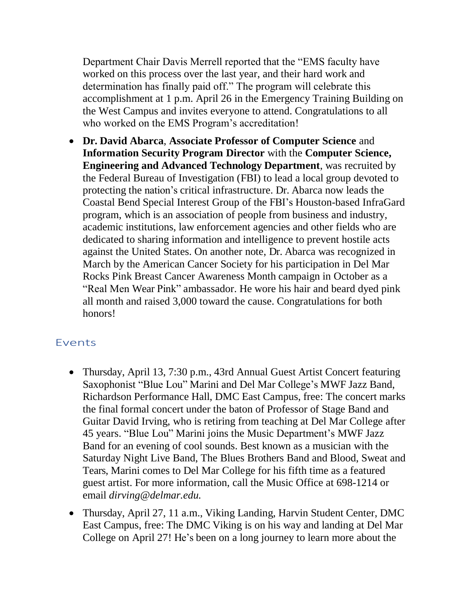Department Chair Davis Merrell reported that the "EMS faculty have worked on this process over the last year, and their hard work and determination has finally paid off." The program will celebrate this accomplishment at 1 p.m. April 26 in the Emergency Training Building on the West Campus and invites everyone to attend. Congratulations to all who worked on the EMS Program's accreditation!

• **Dr. David Abarca**, **Associate Professor of Computer Science** and **Information Security Program Director** with the **Computer Science, Engineering and Advanced Technology Department**, was recruited by the Federal Bureau of Investigation (FBI) to lead a local group devoted to protecting the nation's critical infrastructure. Dr. Abarca now leads the Coastal Bend Special Interest Group of the FBI's Houston-based InfraGard program, which is an association of people from business and industry, academic institutions, law enforcement agencies and other fields who are dedicated to sharing information and intelligence to prevent hostile acts against the United States. On another note, Dr. Abarca was recognized in March by the American Cancer Society for his participation in Del Mar Rocks Pink Breast Cancer Awareness Month campaign in October as a "Real Men Wear Pink" ambassador. He wore his hair and beard dyed pink all month and raised 3,000 toward the cause. Congratulations for both honors!

## Events

- Thursday, April 13, 7:30 p.m., 43rd Annual Guest Artist Concert featuring Saxophonist "Blue Lou" Marini and Del Mar College's MWF Jazz Band, Richardson Performance Hall, DMC East Campus, free: The concert marks the final formal concert under the baton of Professor of Stage Band and Guitar David Irving, who is retiring from teaching at Del Mar College after 45 years. "Blue Lou" Marini joins the Music Department's MWF Jazz Band for an evening of cool sounds. Best known as a musician with the Saturday Night Live Band, The Blues Brothers Band and Blood, Sweat and Tears, Marini comes to Del Mar College for his fifth time as a featured guest artist. For more information, call the Music Office at 698-1214 or email *[dirving@delmar.edu.](mailto:dirving@delmar.edu)*
- Thursday, April 27, 11 a.m., Viking Landing, Harvin Student Center, DMC East Campus, free: The DMC Viking is on his way and landing at Del Mar College on April 27! He's been on a long journey to learn more about the